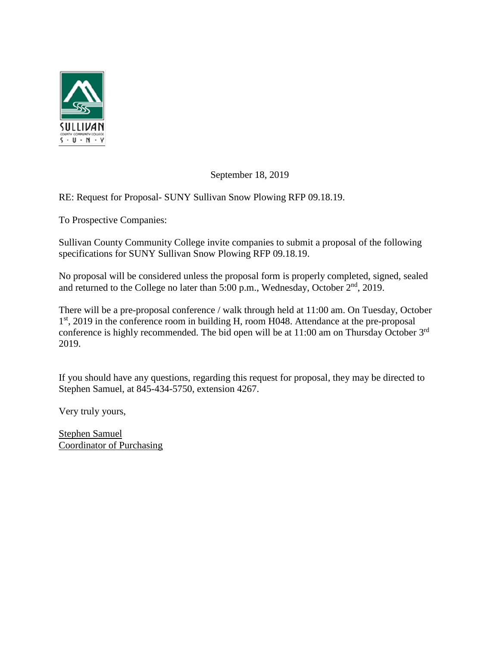

September 18, 2019

RE: Request for Proposal- SUNY Sullivan Snow Plowing RFP 09.18.19.

To Prospective Companies:

Sullivan County Community College invite companies to submit a proposal of the following specifications for SUNY Sullivan Snow Plowing RFP 09.18.19.

No proposal will be considered unless the proposal form is properly completed, signed, sealed and returned to the College no later than  $5:00$  p.m., Wednesday, October  $2<sup>nd</sup>$ , 2019.

There will be a pre-proposal conference / walk through held at 11:00 am. On Tuesday, October 1<sup>st</sup>, 2019 in the conference room in building H, room H048. Attendance at the pre-proposal conference is highly recommended. The bid open will be at 11:00 am on Thursday October 3rd 2019.

If you should have any questions, regarding this request for proposal, they may be directed to Stephen Samuel, at 845-434-5750, extension 4267.

Very truly yours,

Stephen Samuel Coordinator of Purchasing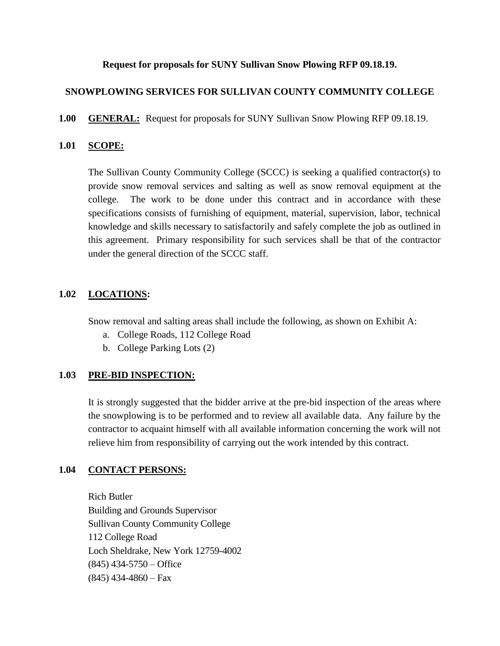#### **Request for proposals for SUNY Sullivan Snow Plowing RFP 09.18.19.**

## **SNOWPLOWING SERVICES FOR SULLIVAN COUNTY COMMUNITY COLLEGE**

**1.00 GENERAL:** Request for proposals for SUNY Sullivan Snow Plowing RFP 09.18.19.

### **1.01 SCOPE:**

The Sullivan County Community College (SCCC) is seeking a qualified contractor(s) to provide snow removal services and salting as well as snow removal equipment at the college. The work to be done under this contract and in accordance with these specifications consists of furnishing of equipment, material, supervision, labor, technical knowledge and skills necessary to satisfactorily and safely complete the job as outlined in this agreement. Primary responsibility for such services shall be that of the contractor under the general direction of the SCCC staff.

#### **1.02 LOCATIONS:**

Snow removal and salting areas shall include the following, as shown on Exhibit A:

- a. College Roads, 112 College Road
- b. College Parking Lots (2)

#### **1.03 PRE-BID INSPECTION:**

It is strongly suggested that the bidder arrive at the pre-bid inspection of the areas where the snowplowing is to be performed and to review all available data. Any failure by the contractor to acquaint himself with all available information concerning the work will not relieve him from responsibility of carrying out the work intended by this contract.

## **1.04 CONTACT PERSONS:**

Rich Butler Building and Grounds Supervisor Sullivan County Community College 112 College Road Loch Sheldrake, New York 12759-4002  $(845)$  434-5750 – Office  $(845)$  434-4860 – Fax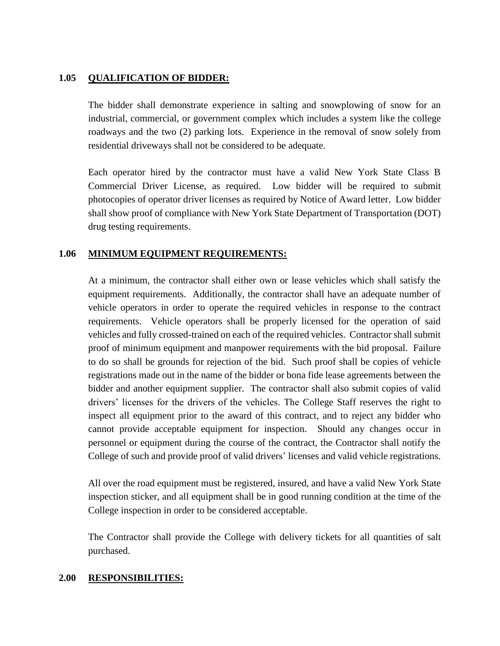### **1.05 QUALIFICATION OF BIDDER:**

The bidder shall demonstrate experience in salting and snowplowing of snow for an industrial, commercial, or government complex which includes a system like the college roadways and the two (2) parking lots. Experience in the removal of snow solely from residential driveways shall not be considered to be adequate.

Each operator hired by the contractor must have a valid New York State Class B Commercial Driver License, as required. Low bidder will be required to submit photocopies of operator driver licenses as required by Notice of Award letter. Low bidder shall show proof of compliance with New York State Department of Transportation (DOT) drug testing requirements.

#### **1.06 MINIMUM EQUIPMENT REQUIREMENTS:**

At a minimum, the contractor shall either own or lease vehicles which shall satisfy the equipment requirements. Additionally, the contractor shall have an adequate number of vehicle operators in order to operate the required vehicles in response to the contract requirements. Vehicle operators shall be properly licensed for the operation of said vehicles and fully crossed-trained on each of the required vehicles. Contractor shall submit proof of minimum equipment and manpower requirements with the bid proposal. Failure to do so shall be grounds for rejection of the bid. Such proof shall be copies of vehicle registrations made out in the name of the bidder or bona fide lease agreements between the bidder and another equipment supplier. The contractor shall also submit copies of valid drivers' licenses for the drivers of the vehicles. The College Staff reserves the right to inspect all equipment prior to the award of this contract, and to reject any bidder who cannot provide acceptable equipment for inspection. Should any changes occur in personnel or equipment during the course of the contract, the Contractor shall notify the College of such and provide proof of valid drivers' licenses and valid vehicle registrations.

All over the road equipment must be registered, insured, and have a valid New York State inspection sticker, and all equipment shall be in good running condition at the time of the College inspection in order to be considered acceptable.

The Contractor shall provide the College with delivery tickets for all quantities of salt purchased.

#### **2.00 RESPONSIBILITIES:**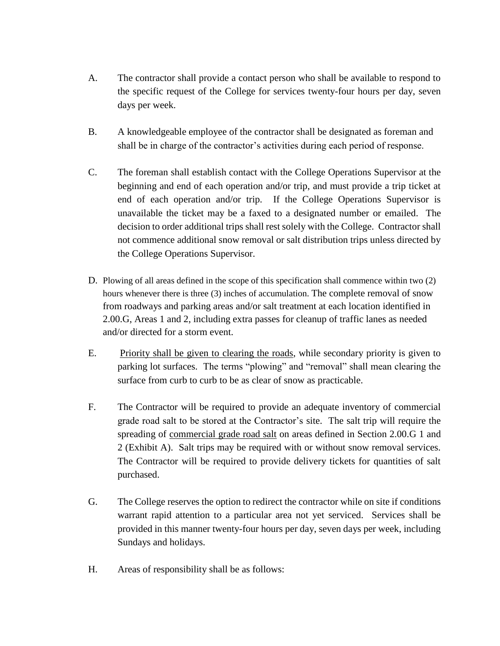- A. The contractor shall provide a contact person who shall be available to respond to the specific request of the College for services twenty-four hours per day, seven days per week.
- B. A knowledgeable employee of the contractor shall be designated as foreman and shall be in charge of the contractor's activities during each period of response.
- C. The foreman shall establish contact with the College Operations Supervisor at the beginning and end of each operation and/or trip, and must provide a trip ticket at end of each operation and/or trip. If the College Operations Supervisor is unavailable the ticket may be a faxed to a designated number or emailed. The decision to order additional trips shall rest solely with the College. Contractor shall not commence additional snow removal or salt distribution trips unless directed by the College Operations Supervisor.
- D. Plowing of all areas defined in the scope of this specification shall commence within two (2) hours whenever there is three (3) inches of accumulation. The complete removal of snow from roadways and parking areas and/or salt treatment at each location identified in 2.00.G, Areas 1 and 2, including extra passes for cleanup of traffic lanes as needed and/or directed for a storm event.
- E. Priority shall be given to clearing the roads, while secondary priority is given to parking lot surfaces. The terms "plowing" and "removal" shall mean clearing the surface from curb to curb to be as clear of snow as practicable.
- F. The Contractor will be required to provide an adequate inventory of commercial grade road salt to be stored at the Contractor's site. The salt trip will require the spreading of commercial grade road salt on areas defined in Section 2.00.G 1 and 2 (Exhibit A). Salt trips may be required with or without snow removal services. The Contractor will be required to provide delivery tickets for quantities of salt purchased.
- G. The College reserves the option to redirect the contractor while on site if conditions warrant rapid attention to a particular area not yet serviced. Services shall be provided in this manner twenty-four hours per day, seven days per week, including Sundays and holidays.
- H. Areas of responsibility shall be as follows: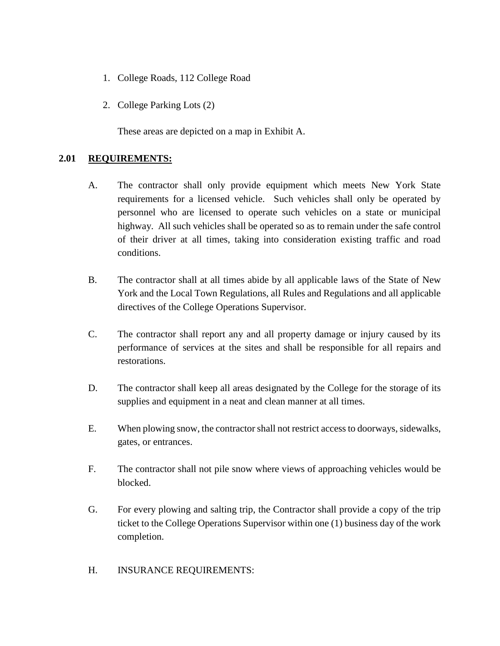- 1. College Roads, 112 College Road
- 2. College Parking Lots (2)

These areas are depicted on a map in Exhibit A.

## **2.01 REQUIREMENTS:**

- A. The contractor shall only provide equipment which meets New York State requirements for a licensed vehicle. Such vehicles shall only be operated by personnel who are licensed to operate such vehicles on a state or municipal highway. All such vehicles shall be operated so as to remain under the safe control of their driver at all times, taking into consideration existing traffic and road conditions.
- B. The contractor shall at all times abide by all applicable laws of the State of New York and the Local Town Regulations, all Rules and Regulations and all applicable directives of the College Operations Supervisor.
- C. The contractor shall report any and all property damage or injury caused by its performance of services at the sites and shall be responsible for all repairs and restorations.
- D. The contractor shall keep all areas designated by the College for the storage of its supplies and equipment in a neat and clean manner at all times.
- E. When plowing snow, the contractor shall not restrict access to doorways, sidewalks, gates, or entrances.
- F. The contractor shall not pile snow where views of approaching vehicles would be blocked.
- G. For every plowing and salting trip, the Contractor shall provide a copy of the trip ticket to the College Operations Supervisor within one (1) business day of the work completion.
- H. INSURANCE REQUIREMENTS: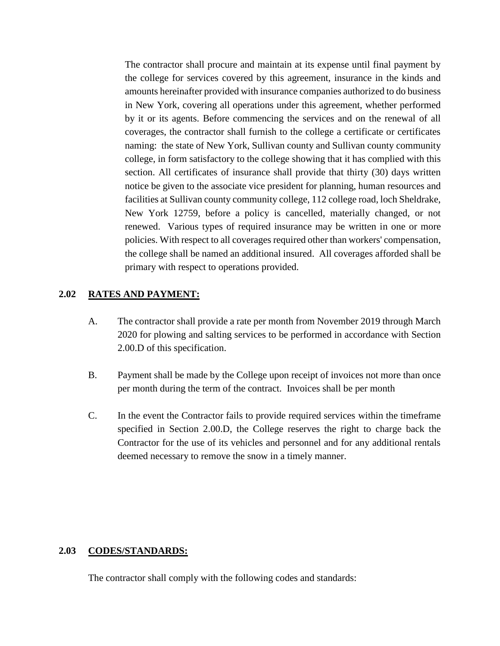The contractor shall procure and maintain at its expense until final payment by the college for services covered by this agreement, insurance in the kinds and amounts hereinafter provided with insurance companies authorized to do business in New York, covering all operations under this agreement, whether performed by it or its agents. Before commencing the services and on the renewal of all coverages, the contractor shall furnish to the college a certificate or certificates naming: the state of New York, Sullivan county and Sullivan county community college, in form satisfactory to the college showing that it has complied with this section. All certificates of insurance shall provide that thirty (30) days written notice be given to the associate vice president for planning, human resources and facilities at Sullivan county community college, 112 college road, loch Sheldrake, New York 12759, before a policy is cancelled, materially changed, or not renewed. Various types of required insurance may be written in one or more policies. With respect to all coverages required other than workers' compensation, the college shall be named an additional insured. All coverages afforded shall be primary with respect to operations provided.

#### **2.02 RATES AND PAYMENT:**

- A. The contractor shall provide a rate per month from November 2019 through March 2020 for plowing and salting services to be performed in accordance with Section 2.00.D of this specification.
- B. Payment shall be made by the College upon receipt of invoices not more than once per month during the term of the contract. Invoices shall be per month
- C. In the event the Contractor fails to provide required services within the timeframe specified in Section 2.00.D, the College reserves the right to charge back the Contractor for the use of its vehicles and personnel and for any additional rentals deemed necessary to remove the snow in a timely manner.

#### **2.03 CODES/STANDARDS:**

The contractor shall comply with the following codes and standards: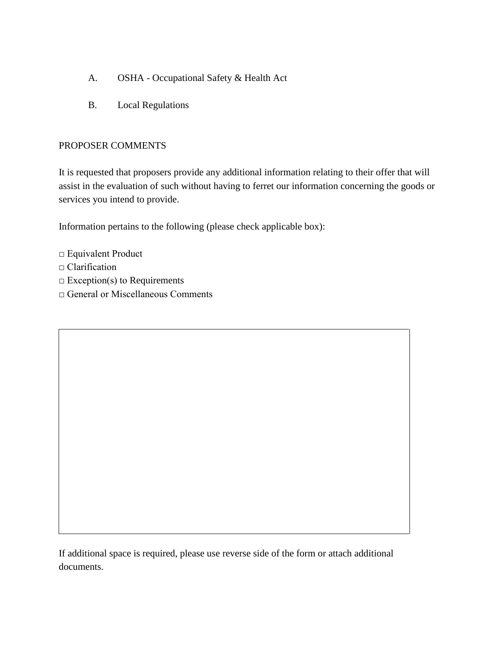- A. OSHA Occupational Safety & Health Act
- B. Local Regulations

## PROPOSER COMMENTS

It is requested that proposers provide any additional information relating to their offer that will assist in the evaluation of such without having to ferret our information concerning the goods or services you intend to provide.

Information pertains to the following (please check applicable box):

- □ Equivalent Product
- □ Clarification
- $\square$  Exception(s) to Requirements
- □ General or Miscellaneous Comments

If additional space is required, please use reverse side of the form or attach additional documents.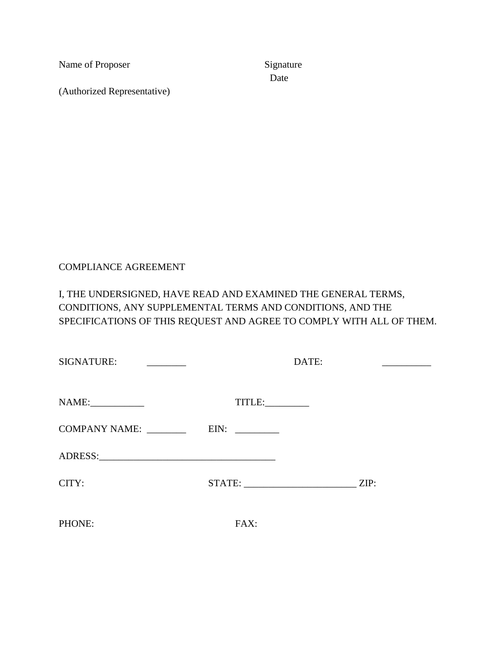Name of Proposer Signature

(Authorized Representative)

Date

## COMPLIANCE AGREEMENT

# I, THE UNDERSIGNED, HAVE READ AND EXAMINED THE GENERAL TERMS, CONDITIONS, ANY SUPPLEMENTAL TERMS AND CONDITIONS, AND THE SPECIFICATIONS OF THIS REQUEST AND AGREE TO COMPLY WITH ALL OF THEM.

| <b>SIGNATURE:</b><br><u> 1990 - Jan Barbara Barat, p</u> | DATE:  |  |      |
|----------------------------------------------------------|--------|--|------|
|                                                          | TITLE: |  |      |
|                                                          |        |  |      |
|                                                          |        |  |      |
| CITY:                                                    |        |  | ZIP: |
| PHONE:                                                   | FAX:   |  |      |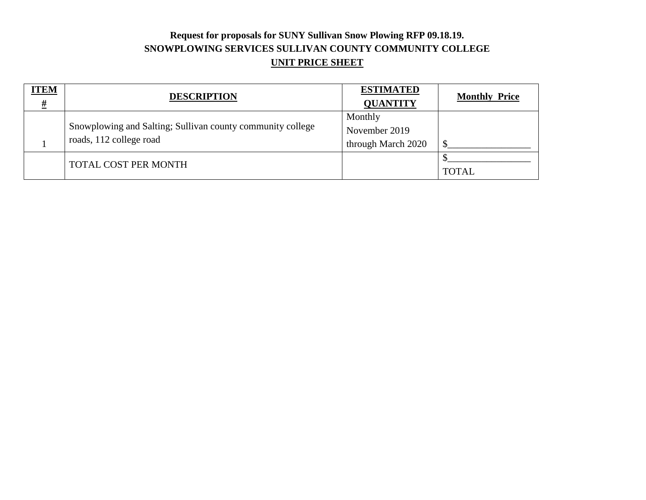# **Request for proposals for SUNY Sullivan Snow Plowing RFP 09.18.19. SNOWPLOWING SERVICES SULLIVAN COUNTY COMMUNITY COLLEGE UNIT PRICE SHEET**

| <b>ITEM</b><br>$\overline{\underline{H}}$ | <b>DESCRIPTION</b>                                         | <b>ESTIMATED</b><br><b>QUANTITY</b> | <b>Monthly Price</b> |
|-------------------------------------------|------------------------------------------------------------|-------------------------------------|----------------------|
|                                           | Snowplowing and Salting; Sullivan county community college | Monthly<br>November 2019            |                      |
|                                           | roads, 112 college road                                    | through March 2020                  | ¢                    |
|                                           | <b>TOTAL COST PER MONTH</b>                                |                                     | <b>TOTAL</b>         |